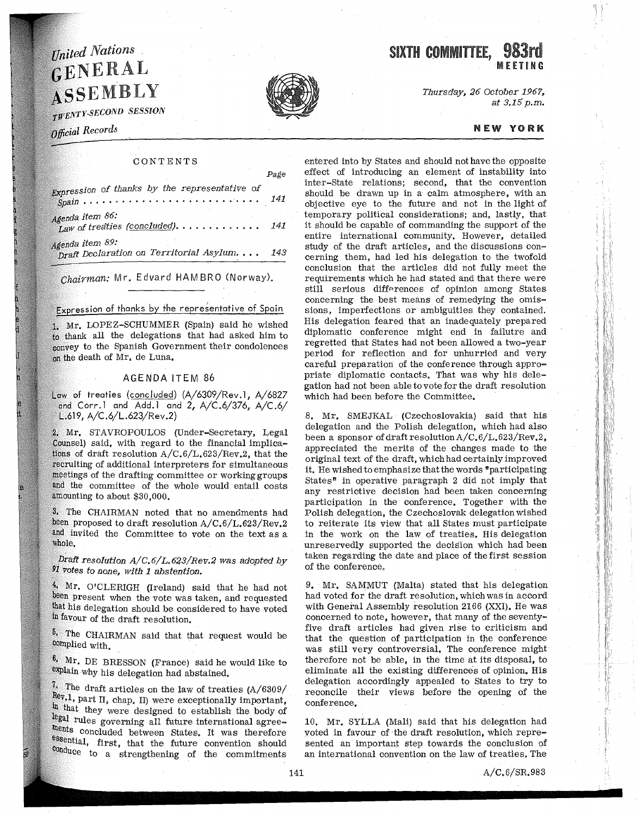# United Nations GENERAL ASSEMBLY

TWENTY-SECOND SESSION

# Official Records

### CONTENTS

Page

| Expression of thanks by the representative of                  | 141 |
|----------------------------------------------------------------|-----|
| Agenda itern 86:<br>Law of treaties (concluded) 141            |     |
| Agenda item 89:<br>Draft Declaration on Territorial Asylum 143 |     |

Chairman: Mr. Edvard HAMBRO (Norway).

Expression of thanks by the representative of Spain

Mr. LOPEZ-SCHUMMER (Spain) said he wished to thank all the delegations that had asked him to convey to the Spanish Government their condolences on the death of Mr. de Luna.

#### AGENDA ITEM 86

Law of treaties (concluded) (A/6309/Rev.1, A/6827 and Corr.1 and Add.1 and 2,  $A/C.6/376$ ,  $A/C.6/$ L.619, A/C.6/L.623/Rev.2)

Mr. STAVROPOULOS (Under-Secretary, Legal Counsel) said, with regard to the financial implications of draft resolution  $A/C.6/L.623/Rev.2$ , that the recruiting of additional interpreters for simultaneous meetings of the drafting committee or working groups and the committee of the whole would entail costs amounting to about \$30,000.

3. The CHAIRMAN noted that no amendments had been proposed to draft resolution A/C.6/L.623/Rev.2 and invited the Committee to vote on the text as a whole.

*Draft resolution A/C.6/L.623/Rev.2 was adopted by '91 votes to none, with 1 abstention.* 

4. Mr. O'CLERIGH (Ireland) said that he had not been present when the vote was taken, and requested his delegation should be considered to have voted favour of the draft resolution.

The CHAIRMAN said that that request would be complied with.

6, Mr. DE BRESSON (France) said he would like to explain why his delegation had abstained.

 $\frac{7}{1}$ . The draft articles on the law of treaties (A/6309/ Rev.1, part II, chap. II) were exceptionally important, that they were designed to establish the body of rules governing all future international agreements concluded between States. It was therefore essential, first, that the future convention should conduce to a strengthening of the commitments



*Thursday, 26 October 1967, at 3.15 p.m.* 

#### NEW YORK

 $^{\prime\prime}$  ,  $^{\prime\prime}$  ,

entered into by States and should not have the opposite effect of introducing an element of instability into inter-State relations; second, that the convention should be drawn up in a calm atmosphere, with an objective eye to the future and not in the light of temporary political considerations; and, lastly, that it should be capable of commanding the support of the entire international community. However, detailed study of the draft articles, and the discussions concerning them, had led his delegation to the twofold conclusion that the articles did not fully meet the requirements which he had stated and that there were still serious differences of opinion among States concerning the best means of remedying the omissions, imperfections or ambiguities they contained. His delegation feared that an inadequately prepared diplomatic conference might end in failutre and regretted that States had not been allowed a two-year period for reflection and for unhurried and very careful preparation of the conference through appropriate diplomatic contacts. That was why his delegation had not been able to vote for the draft resolution which had been before the Committee.

8. Mr. SMEJKAL (Czechoslovakia) said that his delegation and the Polish delegation, which had also been a sponsor of draft resolution  $A/C.6/L.623/Rev.2$ , appreciated the merits of the changes made to the original text of the draft, which had certainly improved it, He wished to emphasize that the words "participating States" in operative paragraph 2 did not imply that any restrictive decision had been taken concerning participation in the conference, Together with the Polish delegation, the Czechoslovak delegation wished to reiterate its view that all States must participate in the work on the law of treaties. His delegation unreservedly supported the decision which had been taken regarding the date and place of the first session of the conference.

9, Mr. SAMMUT (Malta) stated that his delegation had voted for the draft resolution, which was in accord with General Assembly resolution 2166 (XXI). He was concerned to note, however, that many of the seventyfive draft articles had given rise to criticism and that the question of participation in the conference was still very controversial. The conference might therefore not be able, in the time at its disposal, to eliminate all the existing differences of opinion. His delegation accordingly appealed to States to try to reconcile their views before the opening of the conference.

10. Mr. SYLLA (Mali) said that his delegation had voted in favour of the draft resolution, which represented an important step towards the conclusion of an international convention on the law of treaties. The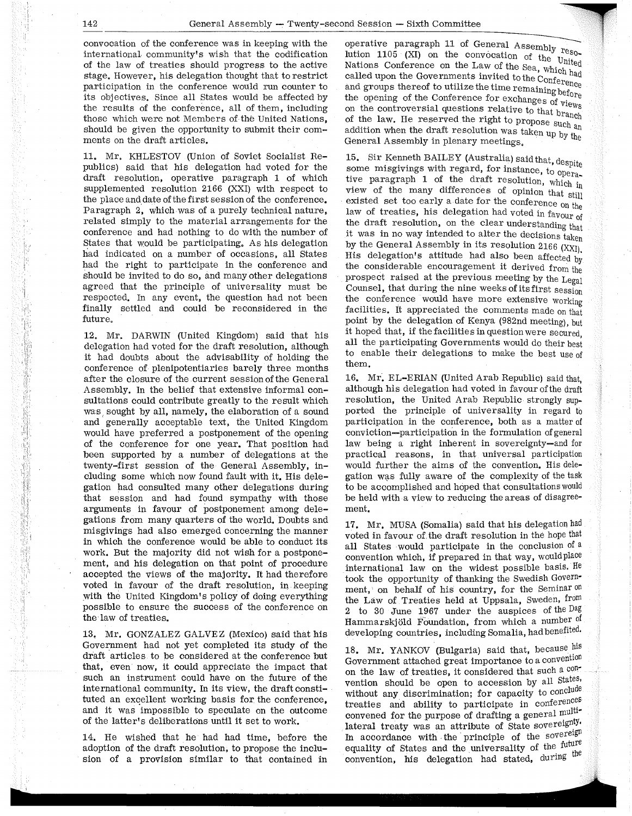convocation of the conference was in keeping with the international community's wish that the codification of the law of treaties should progress to the active stage, However, his delegation thought that to restrict participation in the conference would run counter to its objectives. Since all States would be affected by the results of the conference, all of them, including those which were not Members of the United Nations, should be given the opportunity to submit their comments on the draft articles.

11, Mr, KHLESTOV (Union of Soviet Socialist Republics) said that his delegation had voted for the draft resolution, operative paragraph 1 of which supplemented resolution 2166 (XXI) with respect to the place and date of the first session of the conference. Paragraph 2, which was of a purely technical nature, related simply to the material arrangements for the conference and had nothing to do with the number of States that would be participating, As his delegation had indicated on a number of occasions, all States had the right to participate in the conference and should be invited to do so, and many other delegations agreed that the principle of universality must be respected, In any event, the question had not been finally settled and could be reconsidered in the future,

12, Mr. DARWIN (United Kingdom) said that his delegation had voted for the draft resolution, although it had doubts about the advisability of holding the conference of plenipotentiaries barely three months after the closure of the current session of the General Assembly, In the belief that extensive informal consultations could contribute greatly to the result which was, sought by all, namely, the elaboration of a sound and generally acceptable text, the United Kingdom would have preferred a postponement of the opening of the conference for one year. That position had been supported by a number of delegations at the twenty-first session of the General Assembly, including some which now found fault with it. His delegation had consulted many other delegations during that session and had found sympathy with those arguments in favour of postponement among delegations from many quarters of the world. Doubts and misgivings had also emerged concerning the manner in which the conference would be able to conduct its work. But the majority did not wish for a postponement, and his delegation on that point of procedure accepted the views of the majority. It had therefore voted in favour of the draft resolution, in keeping with the United Kingdom's policy of doing everything possible to ensure the success of the conference on the law of treaties.

13. Mr. GONZALEZ GALVEZ (Mexico) said that his Government had not yet completed its study of the draft articles to be considered at the conference but that, even now, it could appreciate the impact that such an instrument could have on the future of the international community, In its view, the draft constituted an excellent working basis for the conference. and it was impossible to speculate on the outcome of the latter's deliberations until it set to work.

14. He wished that he had had time, before the adoption of the draft resolution, to propose the inclusion of a provision similar to that contained in operative paragraph 11 of General Assembly  $_{\rm reso}$ -<br>lution 1105 (XI) on the convocation of the United Nations Conference on the Law of the Sea, which had called upon the Governments invited to the Conference<br>and groups thereof to utilize the time remaining before and groups  $r_{\text{max}}$  the conference for exchanges of views<br>on the controversial questions relative to that branch on the controversions relative to the reserved the right to propose such  $a_n$ addition when the draft resolution was taken up by the General Assembly in plenary meetings,

15. Sir Kenneth BAILEY (Australia) said that, despite some misgivings with regard, for instance, to opera-<br>tive paragraph 1 of the draft resolution, which in view of the many differences of opinion that still<br>existed set too early a date for the conference on the law of treaties, his delegation had voted in favour of the draft resolution, on the clear understanding that it was in no way intended to alter the decisions taken by the General Assembly in its resolution 2166  $(XXI)$ , His delegation's attitude had also been affected by the considerable encouragement it derived from the prospect raised at the previous meeting by the Legal Counsel, that during the nine weeks of its first session the conference would have more extensive working facilities. It appreciated the comments made on that point by the delegation of Kenya (982nd meeting), but it hoped that, if the facilities in question were secured all the participating Governments would do their best to enable their delegations to make the best use of them.

16. Mr. EL-ERIAN (United Arab Republic) said that, although his delegation had voted in favour of the draft resolution, the United Arab Republic strongly supported the principle of universality in regard to participation in the conference, both as a matter of conviction-participation in the formulation of general law being a right inherent in sovereignty-and for practical reasons, in that universal participation would further the aims of the convention. His delegation was fully aware of the complexity of the task to be accomplished and hoped that consultations would be held with a view to reducing the areas of disagreement.

17. Mr. MUSA (Somalia) said that his delegation had voted in favour of the draft resolution in the hope that all States would participate in the conclusion of a convention which, if prepared in that way, would place international law on the widest possible basis. He took the opportunity of thanking the Swedish Government, on behalf of his country, for the Seminar on the Law of Treaties held at Uppsala, Sweden, from 2 to 30 June 1967 under the auspices of the Dag Hammarskjöld Foundation, from which a number of developing countries, including Somalia, had benefited.

18. Mr. YANKOV (Bulgaria) said that, because his Government attached great importance to a convention on the law of treaties, it considered that such a convention should be open to accession by all States, without any discrimination; for capacity to conclude treaties and ability to participate in conferences convened for the purpose of drafting a general  $multi$ lateral treaty was an attribute of State sovereignty. In accordance with the principle of the sovereign equality of States and the universality of the future convention, his delegation had stated, during the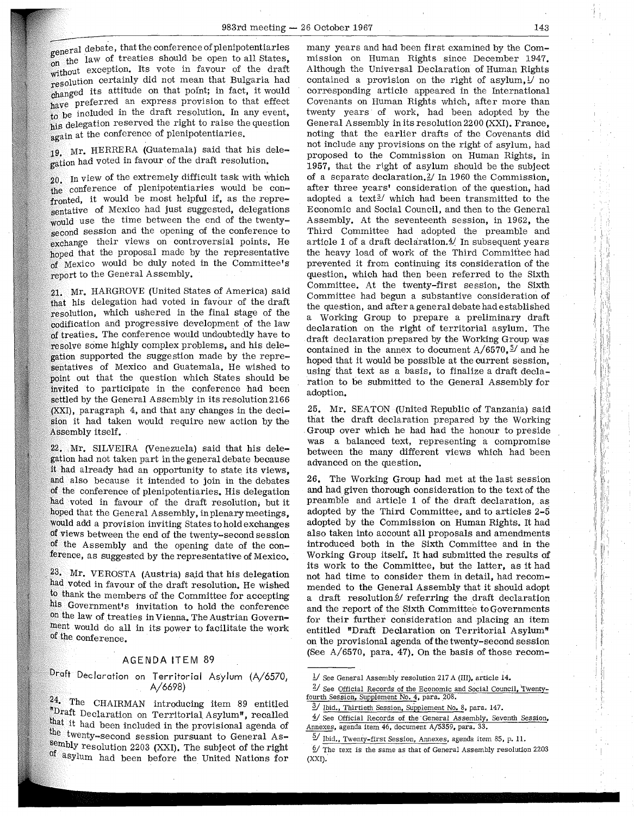eneral debate, that the conference of plenipotentiaries going the law of treaties should be open to all States, without exception. Its vote in favour of the draft resolution certainly did not mean that Bulgaria had  $\alpha$  changed its attitude on that point; in fact, it would have preferred an express provision to that effect to be included in the draft resolution, In any event, his delegation reserved the right to raise the question again at the conference of plenipotentiaries.

19. Mr. HERRERA (Guatemala) said that his delegation had voted in favour of the draft resolution.

*20.* In view of the extremely difficult task with which the conference of plenipotentiaries would be confronted, it would be most helpful if, as the representative of Mexico had just suggested, delegations would use the time between the end of the twentysecond session and the opening of the conference to exchange their views on controversial points. He hoped that the proposal made by the representative of Mexico would be duly noted in the Committee's report to the General Assembly.

21. Mr. HARGROVE (United States of America) said that his delegation had voted in favour of the draft resolution, which ushered in the final stage of the codification and progressive development of the law of treaties. The conference would undoubtedly have to resolve some highly complex problems, and his delegation supported the suggestion made by the representatives of Mexico and Guatemala, He wished to point out that the question which States should be invited to participate in the conference had been settled by the General Assembly in its resolution 2166 (XXI), paragraph 4, and that any changes in the decision it had taken would require new action by the Assembly itself.

22. Mr. SILVEIRA (Venezuela) said that his delegation had not taken part in the general debate because it had already had an opportunity to state its views, and also because it intended to join in the debates of the conference of plenipotentiaries. His delegation had voted in favour of the draft resolution; but it hoped that the General Assembly, in plenary meetings, would add a provision inviting States to hold exchanges of views between the end of the twenty-second session of the Assembly and the opening date of the conference, as suggested by the representative of Mexico.

23. Mr. VEROSTA (Austria) said that his delegation had voted in favour of the draft resolution. He wished to thank the members of the Committee for accepting his Government's invitation to hold the conference on the law of treaties in Vienna. The Austrian Government would do all in its power to facilitate the work of the conference.

# AGENDA ITEM 89

# Draft Declaration on Territorial Asylum (A/6570, A/6698)

24. The CHAIRMAN introducing item 89 entitled "Draft Declaration on Territorial Asylum", recalled that it had been included in the provisional agenda of the twenty-second session pursuant to General As-<br>sembly resolution 2203 (XXI). The subject of the right of asylum had been before the United Nations for

many years and had been first examined by the Commission on Human Rights since December 1947. Although the Universal Declaration of Human Rights contained a provision on the right of asylum,  $\frac{1}{1}$  no corresponding article appeared in the International Covenants on Human Rights which, after more than twenty years of work, had been adopted by the General Assembly in its resolution 2200 (XXI). France, noting that the earlier drafts of the Covenants did not include any provisions on the right of asylum, had proposed to the Commission on Human Rights, in 1957, that the right of asylum should be the subject of a separate declaration.<sup>2</sup>/ In 1960 the Commission, after three years' consideration of the question, had adopted a text $\frac{3}{ }$  which had been transmitted to the Economic and Social Council, and then to the General Assembly. At the seventeenth session, in 1962, the Third Committee had adopted the preamble and article 1 of a draft declaration. $4/$  In subsequent years the heavy load of work of the Third Committee had prevented it from continuing its consideration of the question, which had then been referred to the Sixth Committee. At the twenty-first session, the Sixth Committee had begun a substantive consideration of the question, and after a general debate had established a Working Group to prepare a preliminary draft declaration on the right of territorial asylum. The draft declaration prepared by the Working Group was contained in the annex to document  $A/6570$ ,  $\frac{5}{ }$  and he hoped that it would be possible at the current session, using that text as a basis, to finalize a draft declaration to be submitted to the General Assembly for adoption.

25, Mr. SEATON (United Republic of Tanzania) said that the draft declaration prepared by the Working . Group over which he had had the honour to preside was a balanced text, representing a compromise between the many different views which had been advanced on the question.

26. The Working Group had met at the last session and had given thorough consideration to the text of the preamble and article 1 of the draft declaration, as adopted by the Third Committee, and to articles 2-5 adopted by the Commission on Human Rights. It had also taken into account all proposals and amendments introduced both in the Sixth Committee and in the Working Group itself. It had submitted the results of its work to the Committee, but the latter, as it had not had time to consider them in detail, had recommended to the General Assembly that it should adopt a draft resolution<sup>6</sup> referring the draft declaration and the report of the Sixth Committee to Governments for their further consideration and placing an item entitled "Draft Declaration on Territorial Asylum" on the provisional agenda of the twenty-second session (See A/6570, para. 47). On the basis of those recom-

 $\frac{1}{2}$  See General Assembly resolution 217 A (III), article 14.

<sup>2/</sup> See Official Records of the Economic and Social Council, Twentyfourth Session, Supplement No. 4, para. 208.

<sup>&</sup>lt;sup>3</sup>/ Ibid., Thirtieth Session, Supplement No. 8, para. 147.

<sup>&</sup>lt;sup>1</sup>/ See Official Records of the General Assembly, Seventh Session, Annexes, agenda item 46, document A/5359, para. 33.

 $\frac{5}{10}$  Ibid., Twenty-first Session, Annexes, agenda item 85, p. 11.

 $9/$  The text is the same as that of General Assembly resolution 2203 (XXI).